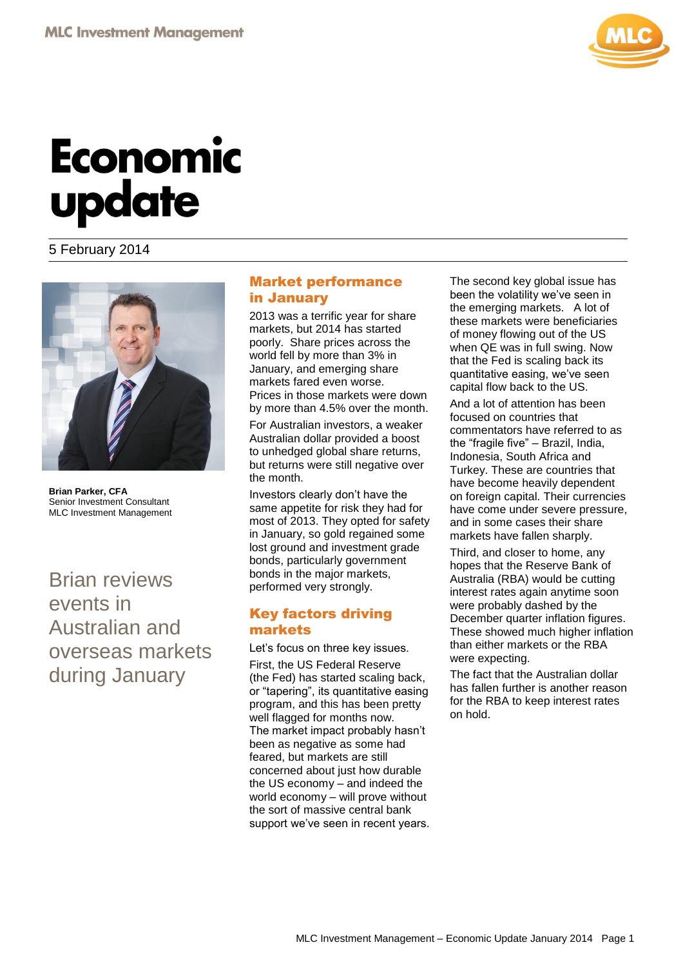

# **Economic** update

### 5 February 2014



**Brian Parker, CFA** Senior Investment Consultant MLC Investment Management

Brian reviews events in Australian and overseas markets during January

### Market performance in January

2013 was a terrific year for share markets, but 2014 has started poorly. Share prices across the world fell by more than 3% in January, and emerging share markets fared even worse. Prices in those markets were down

by more than 4.5% over the month. For Australian investors, a weaker Australian dollar provided a boost to unhedged global share returns, but returns were still negative over the month.

Investors clearly don't have the same appetite for risk they had for most of 2013. They opted for safety in January, so gold regained some lost ground and investment grade bonds, particularly government bonds in the major markets, performed very strongly.

### Key factors driving markets

Let's focus on three key issues.

First, the US Federal Reserve (the Fed) has started scaling back, or "tapering", its quantitative easing program, and this has been pretty well flagged for months now. The market impact probably hasn't been as negative as some had feared, but markets are still concerned about just how durable the US economy – and indeed the world economy – will prove without the sort of massive central bank support we've seen in recent years.

The second key global issue has been the volatility we've seen in the emerging markets. A lot of these markets were beneficiaries of money flowing out of the US when QE was in full swing. Now that the Fed is scaling back its quantitative easing, we've seen capital flow back to the US.

And a lot of attention has been focused on countries that commentators have referred to as the "fragile five" – Brazil, India, Indonesia, South Africa and Turkey. These are countries that have become heavily dependent on foreign capital. Their currencies have come under severe pressure, and in some cases their share markets have fallen sharply.

Third, and closer to home, any hopes that the Reserve Bank of Australia (RBA) would be cutting interest rates again anytime soon were probably dashed by the December quarter inflation figures. These showed much higher inflation than either markets or the RBA were expecting.

The fact that the Australian dollar has fallen further is another reason for the RBA to keep interest rates on hold.